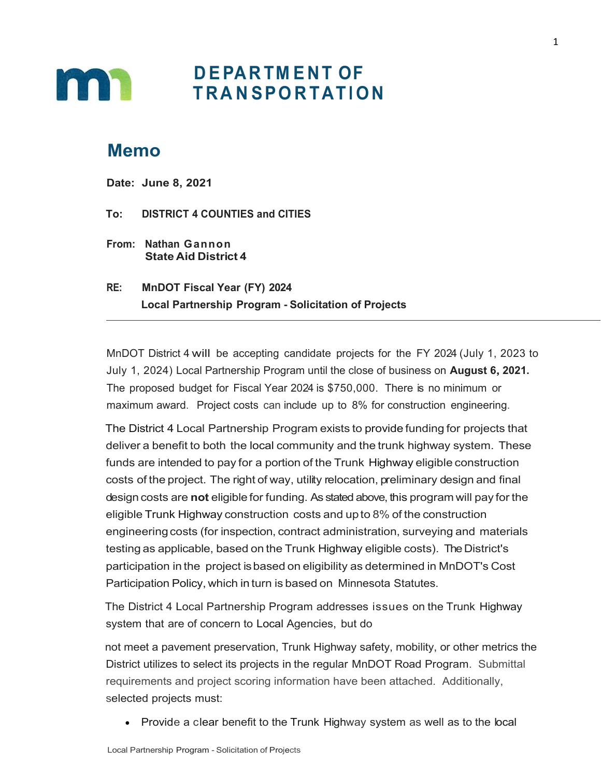

# **D E PA R TM E N T OF T R A N SPO R TAT I ON**

### **Memo**

**Date: June 8, 2021**

**To: DISTRICT 4 COUNTIES and CITIES**

- **From: Nathan Gannon State Aid District 4**
- **RE: MnDOT Fiscal Year (FY) 2024 Local Partnership Program - Solicitation of Projects**

MnDOT District 4 will be accepting candidate projects for the FY 2024 (July 1, 2023 to July 1, 2024) Local Partnership Program until the close of business on **August 6, 2021.** The proposed budget for Fiscal Year 2024 is \$750,000. There is no minimum or maximum award. Project costs can include up to 8% for construction engineering.

The District 4 Local Partnership Program exists to provide funding for projects that deliver a benefit to both the local community and the trunk highway system. These funds are intended to pay for a portion of the Trunk Highway eligible construction costs of the project. The right of way, utility relocation, preliminary design and final design costs are **not** eligible for funding. As stated above, this program will pay for the eligible Trunk Highway construction costs and upto 8% of the construction engineering costs (for inspection, contract administration, surveying and materials testing as applicable, based on the Trunk Highway eligible costs). The District's participation in the project isbased on eligibility as determined in MnDOT's Cost Participation Policy, which in turn is based on Minnesota Statutes.

The District 4 Local Partnership Program addresses issues on the Trunk Highway system that are of concern to Local Agencies, but do

not meet a pavement preservation, Trunk Highway safety, mobility, or other metrics the District utilizes to select its projects in the regular MnDOT Road Program. Submittal requirements and project scoring information have been attached. Additionally, selected projects must:

• Provide a clear benefit to the Trunk Highway system as well as to the local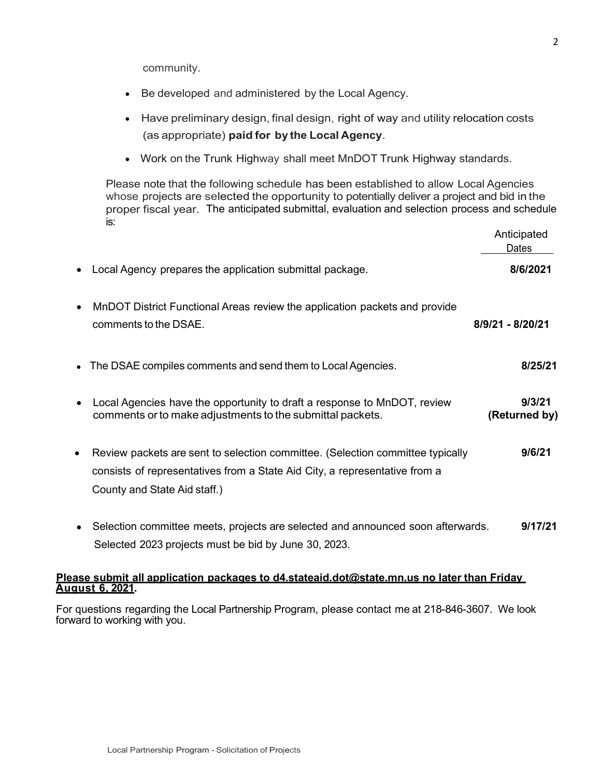community.

- Be developed and administered by the Local Agency.
- Have preliminary design, final design, right of way and utility relocation costs (as appropriate) **paid for by the Local Agency**.
- Work on the Trunk Highway shall meet MnDOT Trunk Highway standards.

Please note that the following schedule has been established to allow Local Agencies whose projects are selected the opportunity to potentially deliver a project and bid in the proper fiscal year. The anticipated submittal, evaluation and selection process and schedule is:

|           |                                                                                                                                                                                              | Anticipated<br>Dates    |
|-----------|----------------------------------------------------------------------------------------------------------------------------------------------------------------------------------------------|-------------------------|
|           | Local Agency prepares the application submittal package.                                                                                                                                     | 8/6/2021                |
|           | MnDOT District Functional Areas review the application packets and provide<br>comments to the DSAE.                                                                                          | 8/9/21 - 8/20/21        |
|           | The DSAE compiles comments and send them to Local Agencies.                                                                                                                                  | 8/25/21                 |
|           | Local Agencies have the opportunity to draft a response to MnDOT, review<br>comments or to make adjustments to the submittal packets.                                                        | 9/3/21<br>(Returned by) |
| $\bullet$ | Review packets are sent to selection committee. (Selection committee typically<br>consists of representatives from a State Aid City, a representative from a<br>County and State Aid staff.) | 9/6/21                  |
|           | Selection committee meets, projects are selected and announced soon afterwards.                                                                                                              | 9/17/21                 |

• Selection committee meets, projects are selected and announced soon afterwards. **9/17/21** Selected 2023 projects must be bid by June 30, 2023.

### **Please submit all application packages to d4.stateaid.dot@state.mn.us no later than Friday August 6, 2021.**

For questions regarding the Local Partnership Program, please contact me at 218-846-3607. We look forward to working with you.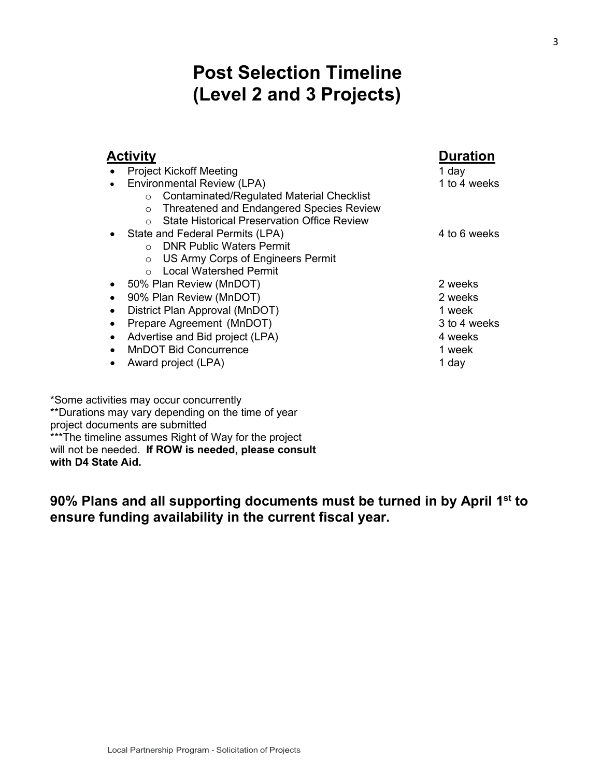# **Post Selection Timeline (Level 2 and 3 Projects)**

| 1 day<br>1 to 4 weeks |
|-----------------------|
|                       |
|                       |
|                       |
|                       |
|                       |
| 4 to 6 weeks          |
|                       |
|                       |
|                       |
| 2 weeks               |
| 2 weeks               |
| 1 week                |
| 3 to 4 weeks          |
| 4 weeks               |
| 1 week                |
| 1 day                 |
|                       |

\*Some activities may occur concurrently \*\*Durations may vary depending on the time of year project documents are submitted \*\*\*The timeline assumes Right of Way for the project will not be needed. **If ROW is needed, please consult with D4 State Aid.**

**90% Plans and all supporting documents must be turned in by April 1st to ensure funding availability in the current fiscal year.**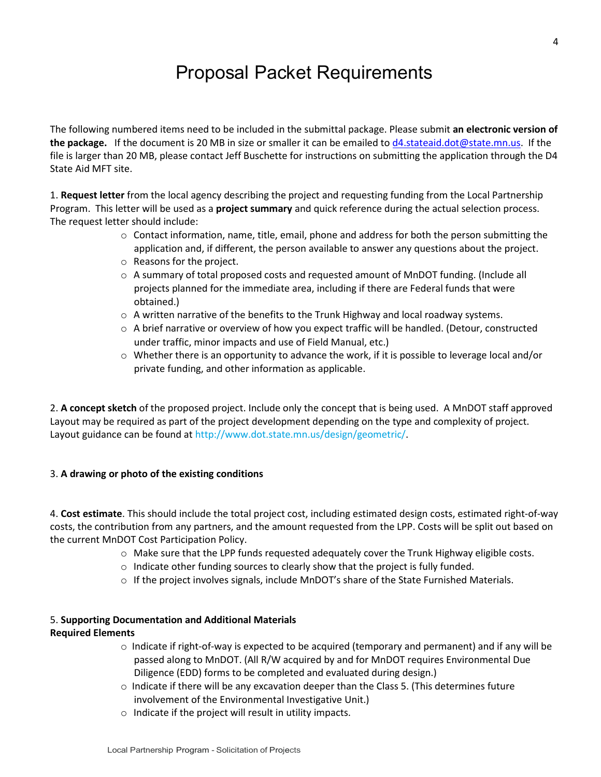# Proposal Packet Requirements

The following numbered items need to be included in the submittal package. Please submit **an electronic version of the package.** If the document is 20 MB in size or smaller it can be emailed to [d4.stateaid.dot@state.mn.us.](mailto:d4.stateaid.dot@state.mn.us) If the file is larger than 20 MB, please contact Jeff Buschette for instructions on submitting the application through the D4 State Aid MFT site.

1. **Request letter** from the local agency describing the project and requesting funding from the Local Partnership Program. This letter will be used as a **project summary** and quick reference during the actual selection process. The request letter should include:

- $\circ$  Contact information, name, title, email, phone and address for both the person submitting the application and, if different, the person available to answer any questions about the project.
- o Reasons for the project.
- o A summary of total proposed costs and requested amount of MnDOT funding. (Include all projects planned for the immediate area, including if there are Federal funds that were obtained.)
- $\circ$  A written narrative of the benefits to the Trunk Highway and local roadway systems.
- o A brief narrative or overview of how you expect traffic will be handled. (Detour, constructed under traffic, minor impacts and use of Field Manual, etc.)
- o Whether there is an opportunity to advance the work, if it is possible to leverage local and/or private funding, and other information as applicable.

2. **A concept sketch** of the proposed project. Include only the concept that is being used. A MnDOT staff approved Layout may be required as part of the project development depending on the type and complexity of project. Layout guidance can be found at http://www.dot.state.mn.us/design/geometric/

#### 3. **A drawing or photo of the existing conditions**

4. **Cost estimate**. This should include the total project cost, including estimated design costs, estimated right-of-way costs, the contribution from any partners, and the amount requested from the LPP. Costs will be split out based on the current MnDOT Cost Participation Policy.

- o Make sure that the LPP funds requested adequately cover the Trunk Highway eligible costs.
- o Indicate other funding sources to clearly show that the project is fully funded.
- $\circ$  If the project involves signals, include MnDOT's share of the State Furnished Materials.

#### 5. **Supporting Documentation and Additional Materials Required Elements**

- o Indicate if right-of-way is expected to be acquired (temporary and permanent) and if any will be passed along to MnDOT. (All R/W acquired by and for MnDOT requires Environmental Due Diligence (EDD) forms to be completed and evaluated during design.)
- $\circ$  Indicate if there will be any excavation deeper than the Class 5. (This determines future involvement of the Environmental Investigative Unit.)
- o Indicate if the project will result in utility impacts.